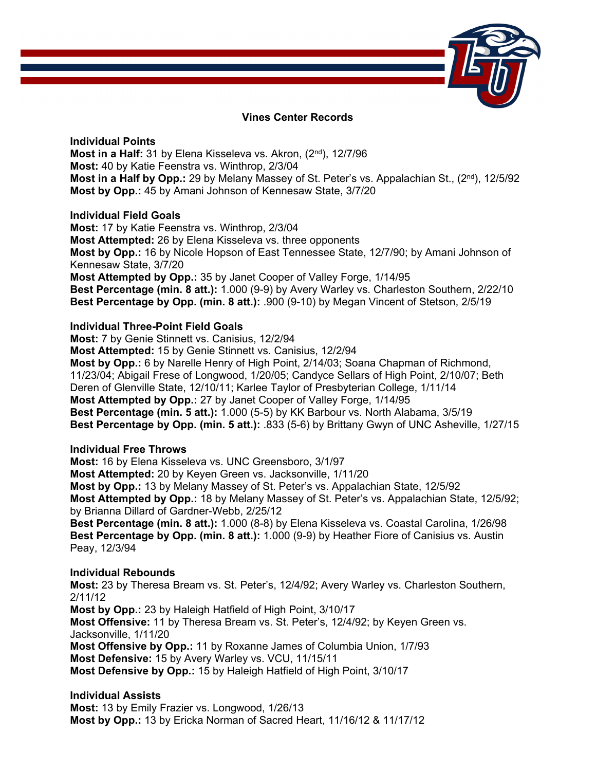

# **Vines Center Records**

**Individual Points Most in a Half:** 31 by Elena Kisseleva vs. Akron, (2nd), 12/7/96 **Most:** 40 by Katie Feenstra vs. Winthrop, 2/3/04 **Most in a Half by Opp.:** 29 by Melany Massey of St. Peter's vs. Appalachian St., (2<sup>nd</sup>), 12/5/92 **Most by Opp.:** 45 by Amani Johnson of Kennesaw State, 3/7/20

## **Individual Field Goals**

**Most:** 17 by Katie Feenstra vs. Winthrop, 2/3/04 **Most Attempted:** 26 by Elena Kisseleva vs. three opponents **Most by Opp.:** 16 by Nicole Hopson of East Tennessee State, 12/7/90; by Amani Johnson of Kennesaw State, 3/7/20 **Most Attempted by Opp.:** 35 by Janet Cooper of Valley Forge, 1/14/95 **Best Percentage (min. 8 att.):** 1.000 (9-9) by Avery Warley vs. Charleston Southern, 2/22/10 **Best Percentage by Opp. (min. 8 att.):** .900 (9-10) by Megan Vincent of Stetson, 2/5/19

# **Individual Three-Point Field Goals**

**Most:** 7 by Genie Stinnett vs. Canisius, 12/2/94 **Most Attempted:** 15 by Genie Stinnett vs. Canisius, 12/2/94 **Most by Opp.:** 6 by Narelle Henry of High Point, 2/14/03; Soana Chapman of Richmond, 11/23/04; Abigail Frese of Longwood, 1/20/05; Candyce Sellars of High Point, 2/10/07; Beth Deren of Glenville State, 12/10/11; Karlee Taylor of Presbyterian College, 1/11/14 **Most Attempted by Opp.:** 27 by Janet Cooper of Valley Forge, 1/14/95 **Best Percentage (min. 5 att.):** 1.000 (5-5) by KK Barbour vs. North Alabama, 3/5/19 **Best Percentage by Opp. (min. 5 att.):** .833 (5-6) by Brittany Gwyn of UNC Asheville, 1/27/15

## **Individual Free Throws**

**Most:** 16 by Elena Kisseleva vs. UNC Greensboro, 3/1/97 **Most Attempted:** 20 by Keyen Green vs. Jacksonville, 1/11/20 **Most by Opp.:** 13 by Melany Massey of St. Peter's vs. Appalachian State, 12/5/92 **Most Attempted by Opp.:** 18 by Melany Massey of St. Peter's vs. Appalachian State, 12/5/92; by Brianna Dillard of Gardner-Webb, 2/25/12 **Best Percentage (min. 8 att.):** 1.000 (8-8) by Elena Kisseleva vs. Coastal Carolina, 1/26/98

**Best Percentage by Opp. (min. 8 att.):** 1.000 (9-9) by Heather Fiore of Canisius vs. Austin Peay, 12/3/94

## **Individual Rebounds**

**Most:** 23 by Theresa Bream vs. St. Peter's, 12/4/92; Avery Warley vs. Charleston Southern, 2/11/12

**Most by Opp.:** 23 by Haleigh Hatfield of High Point, 3/10/17 **Most Offensive:** 11 by Theresa Bream vs. St. Peter's, 12/4/92; by Keyen Green vs. Jacksonville, 1/11/20 **Most Offensive by Opp.:** 11 by Roxanne James of Columbia Union, 1/7/93 **Most Defensive:** 15 by Avery Warley vs. VCU, 11/15/11 **Most Defensive by Opp.:** 15 by Haleigh Hatfield of High Point, 3/10/17

**Individual Assists Most:** 13 by Emily Frazier vs. Longwood, 1/26/13 **Most by Opp.:** 13 by Ericka Norman of Sacred Heart, 11/16/12 & 11/17/12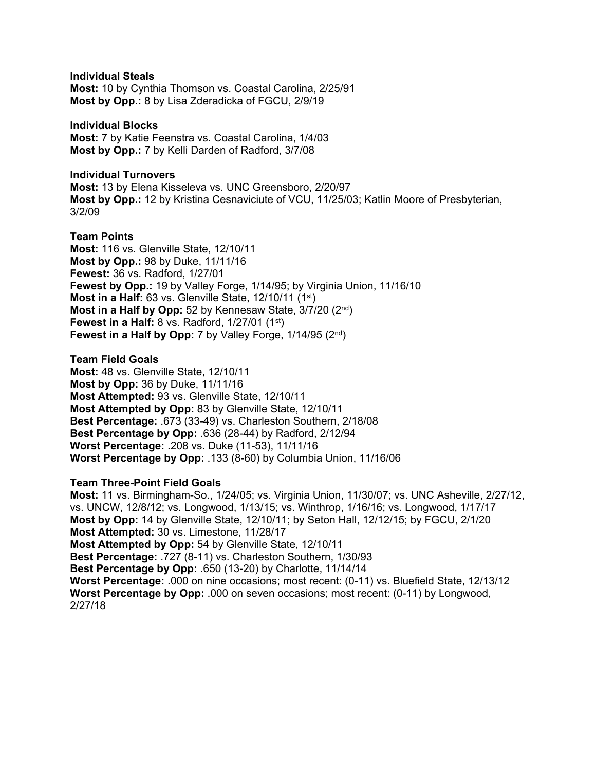**Individual Steals** 

**Most:** 10 by Cynthia Thomson vs. Coastal Carolina, 2/25/91 **Most by Opp.:** 8 by Lisa Zderadicka of FGCU, 2/9/19

## **Individual Blocks**

**Most:** 7 by Katie Feenstra vs. Coastal Carolina, 1/4/03 **Most by Opp.:** 7 by Kelli Darden of Radford, 3/7/08

## **Individual Turnovers**

**Most:** 13 by Elena Kisseleva vs. UNC Greensboro, 2/20/97 **Most by Opp.:** 12 by Kristina Cesnaviciute of VCU, 11/25/03; Katlin Moore of Presbyterian, 3/2/09

# **Team Points**

**Most:** 116 vs. Glenville State, 12/10/11 **Most by Opp.:** 98 by Duke, 11/11/16 **Fewest:** 36 vs. Radford, 1/27/01 **Fewest by Opp.:** 19 by Valley Forge, 1/14/95; by Virginia Union, 11/16/10 **Most in a Half:** 63 vs. Glenville State, 12/10/11 (1st) **Most in a Half by Opp:** 52 by Kennesaw State, 3/7/20 (2nd) **Fewest in a Half:** 8 vs. Radford, 1/27/01 (1st) **Fewest in a Half by Opp:** 7 by Valley Forge, 1/14/95 (2<sup>nd</sup>)

**Team Field Goals Most:** 48 vs. Glenville State, 12/10/11 **Most by Opp:** 36 by Duke, 11/11/16 **Most Attempted:** 93 vs. Glenville State, 12/10/11 **Most Attempted by Opp:** 83 by Glenville State, 12/10/11 **Best Percentage:** .673 (33-49) vs. Charleston Southern, 2/18/08 **Best Percentage by Opp:** .636 (28-44) by Radford, 2/12/94 **Worst Percentage:** .208 vs. Duke (11-53), 11/11/16 **Worst Percentage by Opp:** .133 (8-60) by Columbia Union, 11/16/06

# **Team Three-Point Field Goals**

**Most:** 11 vs. Birmingham-So., 1/24/05; vs. Virginia Union, 11/30/07; vs. UNC Asheville, 2/27/12, vs. UNCW, 12/8/12; vs. Longwood, 1/13/15; vs. Winthrop, 1/16/16; vs. Longwood, 1/17/17 **Most by Opp:** 14 by Glenville State, 12/10/11; by Seton Hall, 12/12/15; by FGCU, 2/1/20 **Most Attempted:** 30 vs. Limestone, 11/28/17 **Most Attempted by Opp:** 54 by Glenville State, 12/10/11 **Best Percentage:** .727 (8-11) vs. Charleston Southern, 1/30/93 **Best Percentage by Opp:** .650 (13-20) by Charlotte, 11/14/14 **Worst Percentage:** .000 on nine occasions; most recent: (0-11) vs. Bluefield State, 12/13/12 **Worst Percentage by Opp:** .000 on seven occasions; most recent: (0-11) by Longwood, 2/27/18